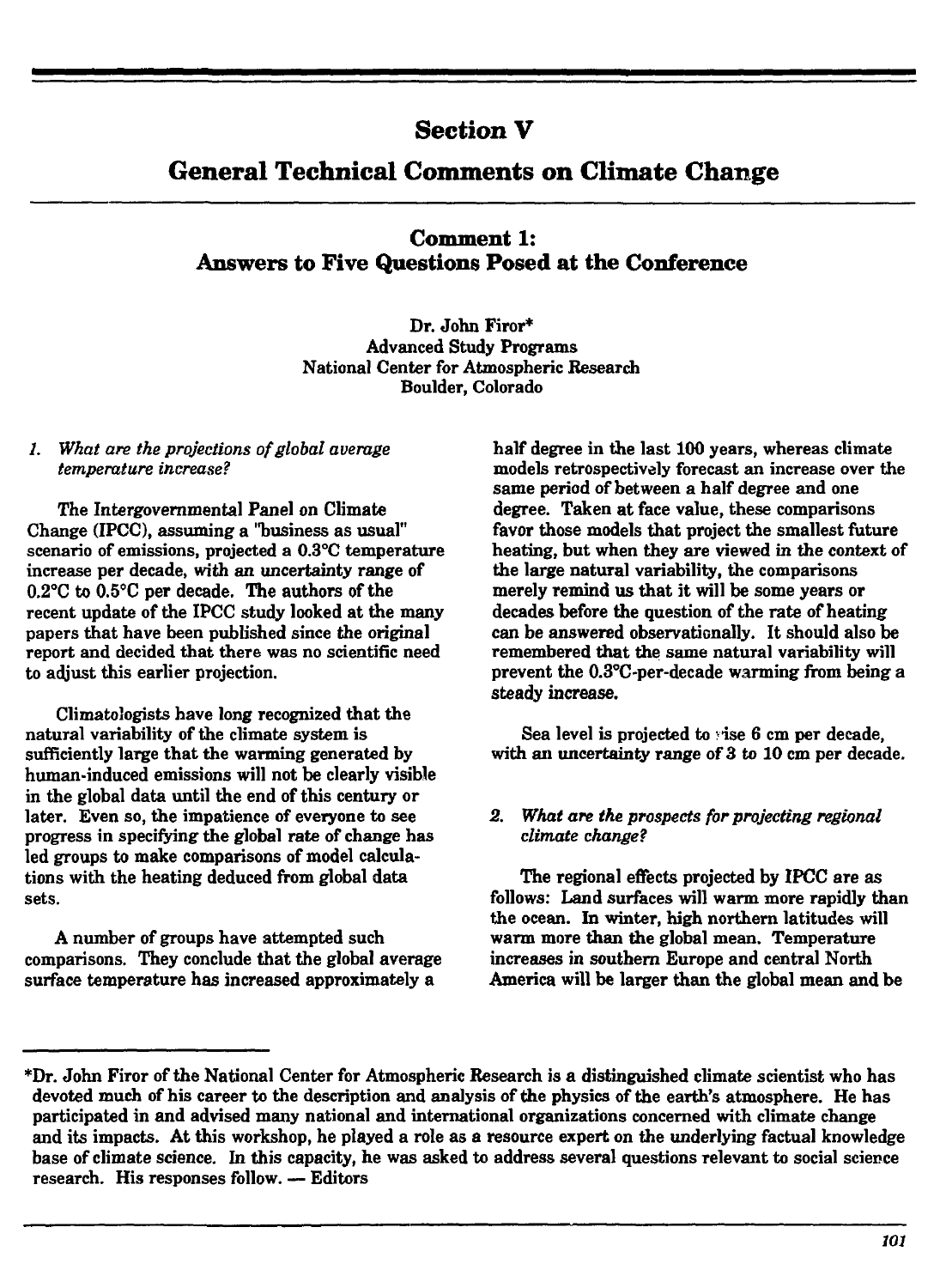## **Section V**

# **General Technical Comments on Climate Change**

**Comment 1: Answers to Five Questions Posed at the Conference**

> **Dr. John Firor\* Advanced Study Programs National Center for Atmospheric Research Boulder, Colorado**

#### **/.** *What are the projections of global average temperature increase?*

The Intergovernmental Panel on Climate **Change (IPCC), assuming a "business as usual" scenario of emissions, projected a 0.3°C temperature increase per decade, with an uncertainty range of 0.2°C to 0.5°C per decade. The authors of the recent update of the IPCC study looked at the many papers that have been published since the original report and decided that there was no scientific need to adjust this earlier projection.**

**Climatologists have long recognized that the natural variability of the climate system is sufficiently large that the warming generated by human-induced emissions will not be clearly visible in the global data until the end of this century or later. Even so, the impatience of everyone to see progress in specifying the global rate of change has led groups to make comparisons of model calculations with the heating deduced from global data sets.**

**A number of groups have attempted such comparisons. They conclude that the global average surface temperature has increased approximately a**

**half degree in the last 100 years, whereas climate models retrospectively forecast an increase over the same period of between a half degree and one degree. Taken at face value, these comparisons favor those models that project the smallest future heating, but when they are viewed in the context of the large natural variability, the comparisons merely remind us that it will be some years or decades before the question of the rate of heating can be answered observaticnally. It should also be remembered that the same natural variability will prevent the 0.3°C-per-decade warming from being a steady increase.**

**Sea level is projected to : ise 6 cm per decade, with an uncertainty range of 3 to 10 cm per decade.**

#### *2. What are the prospects for projecting regional climate change?*

**The regional effects projected by IPCC are as follows: Land surfaces will warm more rapidly than the ocean. In winter, high northern latitudes will warm more than the global mean. Temperature increases in southern Europe and central North America will be larger than the global mean and be**

**<sup>\*</sup>Dr. John Firor of the National Center for Atmospheric Research is a distinguished climate scientist who has devoted much of his career to the description and analysis of the physics of the earth's atmosphere. He has participated in and advised many national and international organizations concerned with climate change and its impacts. At this workshop, he played a role as a resource expert on the underlying factual knowledge base of climate science. In this capacity, he was asked to address several questions relevant to social science research. His responses follow. — Editors**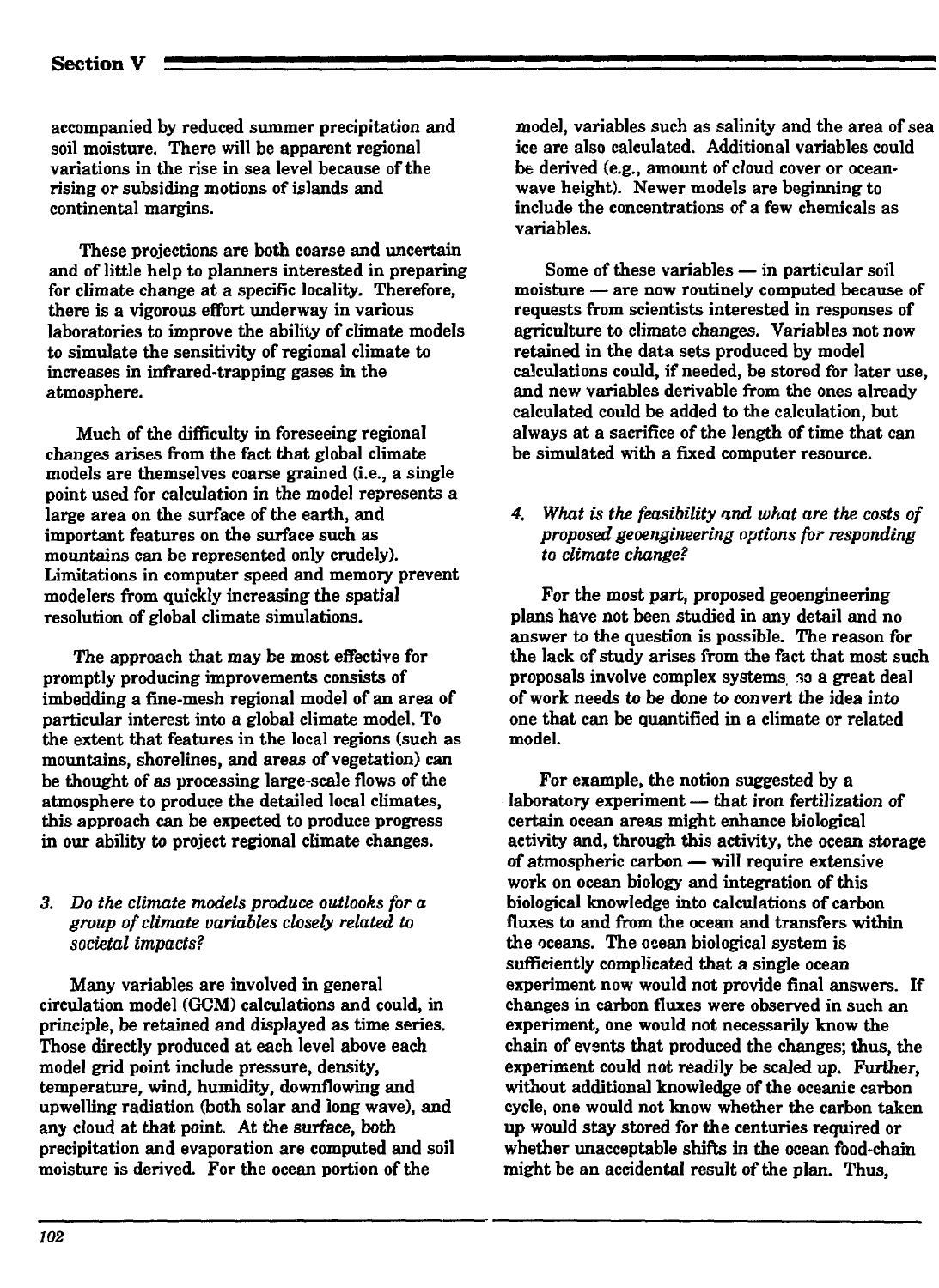accompanied by reduced summer precipitation and soil moisture. There will be apparent regional variations in the rise in sea level because of the rising or subsiding motions of islands and continental margins.

These projections are both coarse and uncertain and of little help to planners interested in preparing for climate change at a specific locality. Therefore, there is a vigorous effort underway in various laboratories to improve the ability of climate models to simulate the sensitivity of regional climate to increases in infrared-trapping gases in the atmosphere.

Much of the difficulty in foreseeing regional changes arises from the fact that global climate models are themselves coarse grained (i.e., a single point used for calculation in the model represents a large area on the surface of the earth, and important features on the surface such as mountains can be represented only crudely). Limitations in computer speed and memory prevent modelers from quickly increasing the spatial resolution of global climate simulations.

The approach that may be most effective for promptly producing improvements consists of imbedding a fine-mesh regional model of an area of particular interest into a global climate model. To the extent that features in the local regions (such as mountains, shorelines, and areas of vegetation) can be thought of as processing large-scale flows of the atmosphere to produce the detailed local climates, this approach can be expected to produce progress in our ability to project regional climate changes.

### *3. Do the climate models produce outlooks for a group of climate variables closely related to societal impacts?*

Many variables are involved in general circulation model (GCM) calculations and could, in principle, be retained and displayed as time series. Those directly produced at each level above each model grid point include pressure, density, temperature, wind, humidity, downflowing and upwelling radiation (both solar and long wave), and any cloud at that point. At the surface, both precipitation and evaporation are computed and soil moisture is derived. For the ocean portion of the

model, variables such as salinity and the area of sea ice are also calculated. Additional variables could be derived (e.g., amount of cloud cover or oceanwave height). Newer models are beginning to include the concentrations of a few chemicals as variables.

Some of these variables — in particular soil moisture — are now routinely computed because of requests from scientists interested in responses of agriculture to climate changes. Variables not now retained in the data sets produced by model calculations could, if needed, be stored for later use, and new variables derivable from the ones already calculated could be added to the calculation, but always at a sacrifice of the length of time that can be simulated with a fixed computer resource.

*4. What is the feasibility and what are the costs of proposed geoengineering options for responding to climate change?*

For the most part, proposed geoengineering plans have not been studied in any detail and no answer to the question is possible. The reason for the lack cf study arises from the fact that most such proposals involve complex systems, so a great deal of work needs to be done to *convert* the idea into one that can be quantified in a climate or related model.

For example, the notion suggested by a laboratory experiment — that iron fertilization *of* certain ocean areas might enhance biological activity and, through this activity, the ocean storage of atmospheric carbon — will require extensive work on ocean biology and integration of this biological knowledge into calculations of carbon fluxes to and from the ocean and transfers within the oceans. The ocean biological system is sufficiently complicated that a single ocean experiment now would not provide final answers. If changes in carbon fluxes were observed in such an experiment, one would not necessarily know the chain of events that produced the changes; thus, the experiment could not readily be scaled up. Further, without additional knowledge of the oceanic carbon cycle, one would not know whether the carbon taken up would stay stored for the centuries required or whether unacceptable shifts in the ocean food-chain might be an accidental result of the plan. Thus,